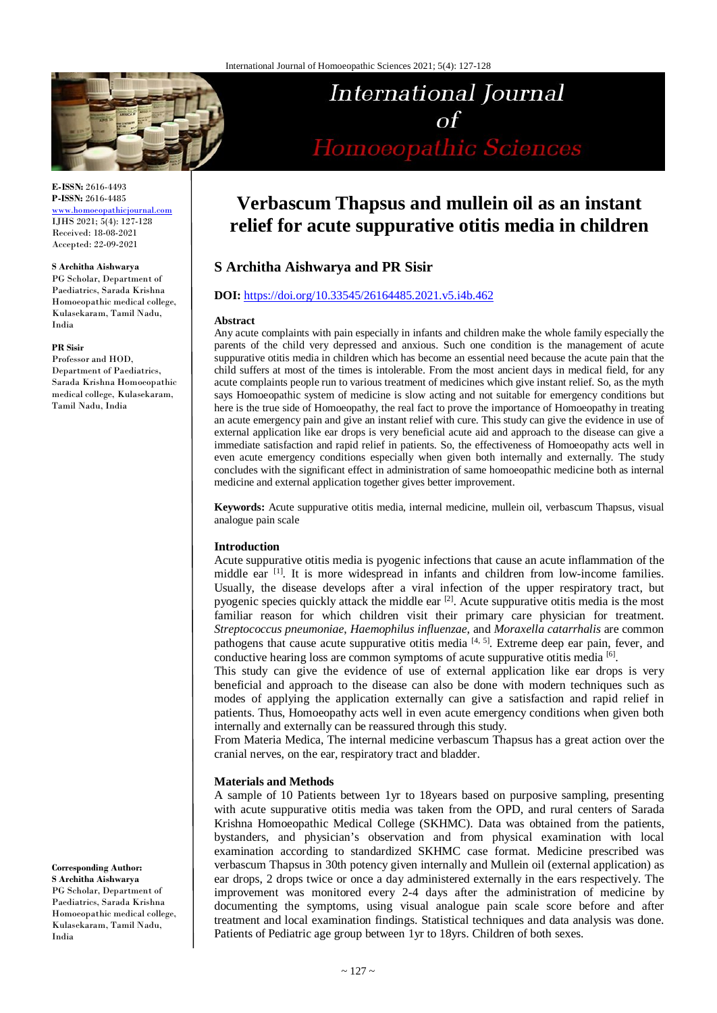

**E-ISSN:** 2616-4493 **P-ISSN:** 2616-4485

[www.homoeopathicjournal.com](file://Server/test/homoeopathicjournal/issue/vol%204/issue%201/www.homoeopathicjournal.com) IJHS 2021; 5(4): 127-128 Received: 18-08-2021 Accepted: 22-09-2021

#### **S Architha Aishwarya**

PG Scholar, Department of Paediatrics, Sarada Krishna Homoeopathic medical college, Kulasekaram, Tamil Nadu, India

#### **PR Sisir**

Professor and HOD, Department of Paediatrics, Sarada Krishna Homoeopathic medical college, Kulasekaram, Tamil Nadu, India

**Corresponding Author: S Architha Aishwarya** PG Scholar, Department of Paediatrics, Sarada Krishna Homoeopathic medical college, Kulasekaram, Tamil Nadu, India

# **International Journal**  $\Omega$ Homoeopathic Sciences

# **Verbascum Thapsus and mullein oil as an instant relief for acute suppurative otitis media in children**

# **S Architha Aishwarya and PR Sisir**

#### **DOI:** <https://doi.org/10.33545/26164485.2021.v5.i4b.462>

#### **Abstract**

Any acute complaints with pain especially in infants and children make the whole family especially the parents of the child very depressed and anxious. Such one condition is the management of acute suppurative otitis media in children which has become an essential need because the acute pain that the child suffers at most of the times is intolerable. From the most ancient days in medical field, for any acute complaints people run to various treatment of medicines which give instant relief. So, as the myth says Homoeopathic system of medicine is slow acting and not suitable for emergency conditions but here is the true side of Homoeopathy, the real fact to prove the importance of Homoeopathy in treating an acute emergency pain and give an instant relief with cure. This study can give the evidence in use of external application like ear drops is very beneficial acute aid and approach to the disease can give a immediate satisfaction and rapid relief in patients. So, the effectiveness of Homoeopathy acts well in even acute emergency conditions especially when given both internally and externally. The study concludes with the significant effect in administration of same homoeopathic medicine both as internal medicine and external application together gives better improvement.

**Keywords:** Acute suppurative otitis media, internal medicine, mullein oil, verbascum Thapsus, visual analogue pain scale

#### **Introduction**

Acute suppurative otitis media is pyogenic infections that cause an acute inflammation of the middle ear <sup>[1]</sup>. It is more widespread in infants and children from low-income families. Usually, the disease develops after a viral infection of the upper respiratory tract, but pyogenic species quickly attack the middle ear <sup>[2]</sup>. Acute suppurative otitis media is the most familiar reason for which children visit their primary care physician for treatment. *Streptococcus pneumoniae*, *Haemophilus influenzae*, and *Moraxella catarrhalis* are common pathogens that cause acute suppurative otitis media [4, 5]. Extreme deep ear pain, fever, and conductive hearing loss are common symptoms of acute suppurative otitis media [6].

This study can give the evidence of use of external application like ear drops is very beneficial and approach to the disease can also be done with modern techniques such as modes of applying the application externally can give a satisfaction and rapid relief in patients. Thus, Homoeopathy acts well in even acute emergency conditions when given both internally and externally can be reassured through this study.

From Materia Medica, The internal medicine verbascum Thapsus has a great action over the cranial nerves, on the ear, respiratory tract and bladder.

#### **Materials and Methods**

A sample of 10 Patients between 1yr to 18years based on purposive sampling, presenting with acute suppurative otitis media was taken from the OPD, and rural centers of Sarada Krishna Homoeopathic Medical College (SKHMC). Data was obtained from the patients, bystanders, and physician's observation and from physical examination with local examination according to standardized SKHMC case format. Medicine prescribed was verbascum Thapsus in 30th potency given internally and Mullein oil (external application) as ear drops, 2 drops twice or once a day administered externally in the ears respectively. The improvement was monitored every 2-4 days after the administration of medicine by documenting the symptoms, using visual analogue pain scale score before and after treatment and local examination findings. Statistical techniques and data analysis was done. Patients of Pediatric age group between 1yr to 18yrs. Children of both sexes.